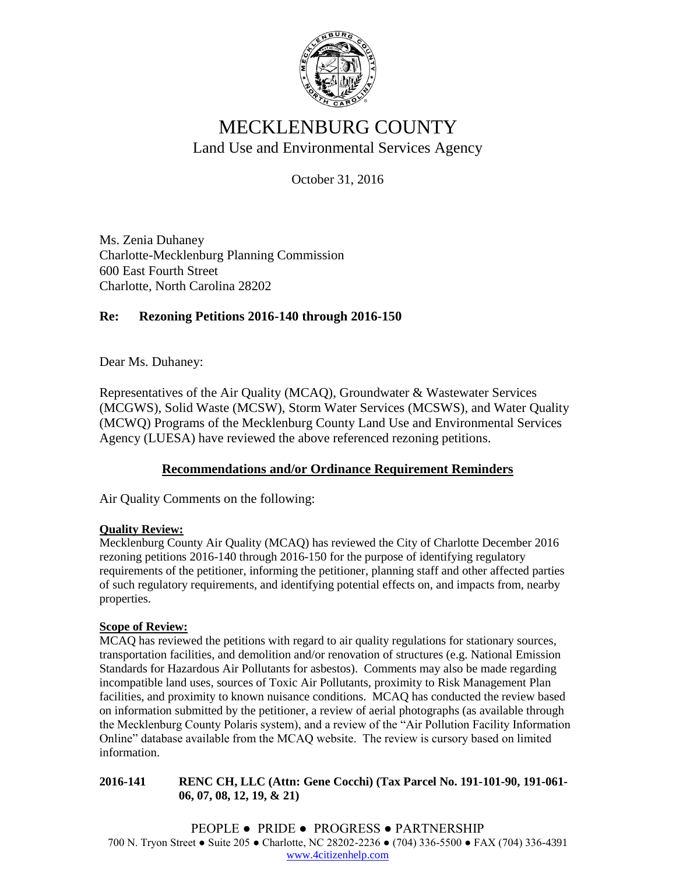

# MECKLENBURG COUNTY Land Use and Environmental Services Agency

October 31, 2016

Ms. Zenia Duhaney Charlotte-Mecklenburg Planning Commission 600 East Fourth Street Charlotte, North Carolina 28202

# **Re: Rezoning Petitions 2016-140 through 2016-150**

Dear Ms. Duhaney:

Representatives of the Air Quality (MCAQ), Groundwater & Wastewater Services (MCGWS), Solid Waste (MCSW), Storm Water Services (MCSWS), and Water Quality (MCWQ) Programs of the Mecklenburg County Land Use and Environmental Services Agency (LUESA) have reviewed the above referenced rezoning petitions.

# **Recommendations and/or Ordinance Requirement Reminders**

Air Quality Comments on the following:

## **Quality Review:**

Mecklenburg County Air Quality (MCAQ) has reviewed the City of Charlotte December 2016 rezoning petitions 2016-140 through 2016-150 for the purpose of identifying regulatory requirements of the petitioner, informing the petitioner, planning staff and other affected parties of such regulatory requirements, and identifying potential effects on, and impacts from, nearby properties.

#### **Scope of Review:**

MCAQ has reviewed the petitions with regard to air quality regulations for stationary sources, transportation facilities, and demolition and/or renovation of structures (e.g. National Emission Standards for Hazardous Air Pollutants for asbestos). Comments may also be made regarding incompatible land uses, sources of Toxic Air Pollutants, proximity to Risk Management Plan facilities, and proximity to known nuisance conditions. MCAQ has conducted the review based on information submitted by the petitioner, a review of aerial photographs (as available through the Mecklenburg County Polaris system), and a review of the "Air Pollution Facility Information Online" database available from the MCAQ website. The review is cursory based on limited information.

**2016-141 RENC CH, LLC (Attn: Gene Cocchi) (Tax Parcel No. 191-101-90, 191-061- 06, 07, 08, 12, 19, & 21)**

PEOPLE ● PRIDE ● PROGRESS ● PARTNERSHIP 700 N. Tryon Street ● Suite 205 ● Charlotte, NC 28202-2236 ● (704) 336-5500 ● FAX (704) 336-4391 [www.4citizenhelp.com](http://www.4citizenhelp.com/)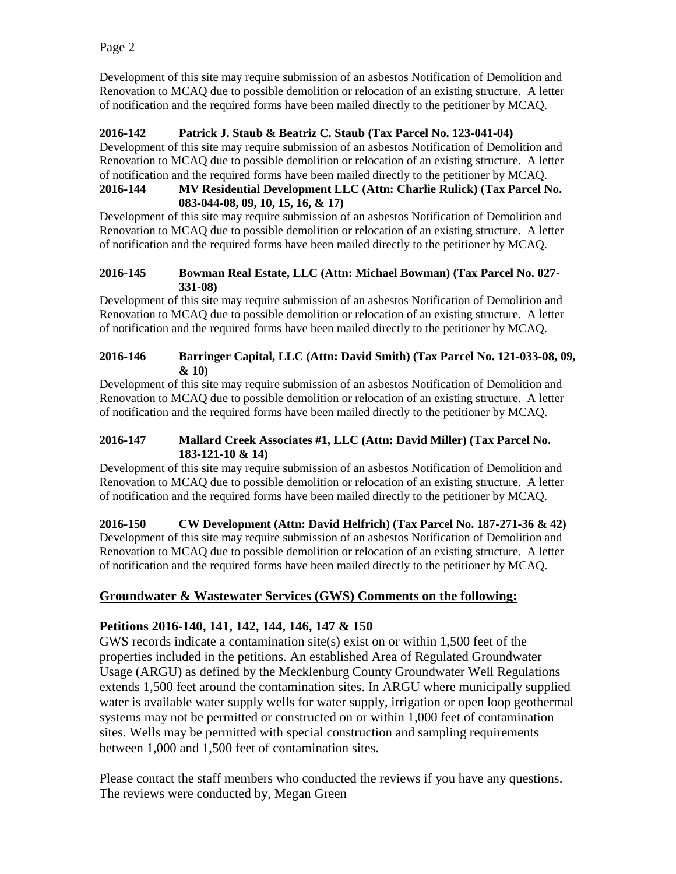Development of this site may require submission of an asbestos Notification of Demolition and Renovation to MCAQ due to possible demolition or relocation of an existing structure. A letter of notification and the required forms have been mailed directly to the petitioner by MCAQ.

### **2016-142 Patrick J. Staub & Beatriz C. Staub (Tax Parcel No. 123-041-04)**

Development of this site may require submission of an asbestos Notification of Demolition and Renovation to MCAQ due to possible demolition or relocation of an existing structure. A letter of notification and the required forms have been mailed directly to the petitioner by MCAQ.

#### **2016-144 MV Residential Development LLC (Attn: Charlie Rulick) (Tax Parcel No. 083-044-08, 09, 10, 15, 16, & 17)**

Development of this site may require submission of an asbestos Notification of Demolition and Renovation to MCAQ due to possible demolition or relocation of an existing structure. A letter of notification and the required forms have been mailed directly to the petitioner by MCAQ.

#### **2016-145 Bowman Real Estate, LLC (Attn: Michael Bowman) (Tax Parcel No. 027- 331-08)**

Development of this site may require submission of an asbestos Notification of Demolition and Renovation to MCAQ due to possible demolition or relocation of an existing structure. A letter of notification and the required forms have been mailed directly to the petitioner by MCAQ.

#### **2016-146 Barringer Capital, LLC (Attn: David Smith) (Tax Parcel No. 121-033-08, 09, & 10)**

Development of this site may require submission of an asbestos Notification of Demolition and Renovation to MCAQ due to possible demolition or relocation of an existing structure. A letter of notification and the required forms have been mailed directly to the petitioner by MCAQ.

#### **2016-147 Mallard Creek Associates #1, LLC (Attn: David Miller) (Tax Parcel No. 183-121-10 & 14)**

Development of this site may require submission of an asbestos Notification of Demolition and Renovation to MCAQ due to possible demolition or relocation of an existing structure. A letter of notification and the required forms have been mailed directly to the petitioner by MCAQ.

**2016-150 CW Development (Attn: David Helfrich) (Tax Parcel No. 187-271-36 & 42)** Development of this site may require submission of an asbestos Notification of Demolition and Renovation to MCAQ due to possible demolition or relocation of an existing structure. A letter of notification and the required forms have been mailed directly to the petitioner by MCAQ.

# **Groundwater & Wastewater Services (GWS) Comments on the following:**

# **Petitions 2016-140, 141, 142, 144, 146, 147 & 150**

GWS records indicate a contamination site(s) exist on or within 1,500 feet of the properties included in the petitions. An established Area of Regulated Groundwater Usage (ARGU) as defined by the Mecklenburg County Groundwater Well Regulations extends 1,500 feet around the contamination sites. In ARGU where municipally supplied water is available water supply wells for water supply, irrigation or open loop geothermal systems may not be permitted or constructed on or within 1,000 feet of contamination sites. Wells may be permitted with special construction and sampling requirements between 1,000 and 1,500 feet of contamination sites.

Please contact the staff members who conducted the reviews if you have any questions. The reviews were conducted by, Megan Green